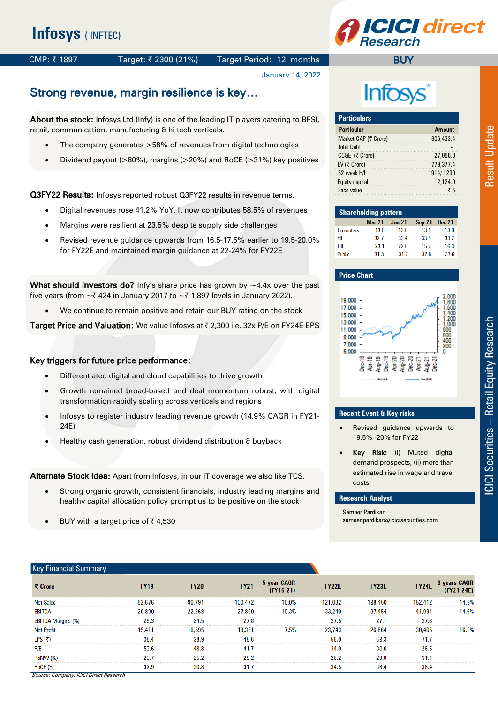# **CI** direct

**BUY** 

#### CMP: ₹1897 Target: ₹2300 (21%) Target Period: 12 months

January 14, 2022

## Strong revenue, margin resilience is key…

About the stock: Infosys Ltd (Infy) is one of the leading IT players catering to BFSI, retail, communication, manufacturing & hi tech verticals.

- The company generates >58% of revenues from digital technologies
- Dividend payout (>80%), margins (>20%) and RoCE (>31%) key positives

Q3FY22 Results: Infosys reported robust Q3FY22 results in revenue terms.

- Digital revenues rose 41.2% YoY. It now contributes 58.5% of revenues
- Margins were resilient at 23.5% despite supply side challenges
- Revised revenue guidance upwards from 16.5-17.5% earlier to 19.5-20.0% for FY22E and maintained margin guidance at 22-24% for FY22E

What should investors do? Infy's share price has grown by  $\sim$ 4.4x over the past five years (from  $\sim$  424 in January 2017 to  $\sim$  71,897 levels in January 2022).

We continue to remain positive and retain our BUY rating on the stock

Target Price and Valuation: We value Infosys at ₹ 2,300 i.e. 32x P/E on FY24E EPS

#### Key triggers for future price performance:

- Differentiated digital and cloud capabilities to drive growth
- Growth remained broad-based and deal momentum robust, with digital transformation rapidly scaling across verticals and regions
- Infosys to register industry leading revenue growth (14.9% CAGR in FY21- 24E)
- Healthy cash generation, robust dividend distribution & buyback

Alternate Stock Idea: Apart from Infosys, in our IT coverage we also like TCS.

- Strong organic growth, consistent financials, industry leading margins and healthy capital allocation policy prompt us to be positive on the stock
- BUY with a target price of  $\bar{\tau}$  4,530

## **Infosys**

| <b>Particulars</b>   |               |
|----------------------|---------------|
| <b>Particular</b>    | <b>Amount</b> |
| Market CAP (₹ Crore) | 806,433.4     |
| <b>Total Debt</b>    |               |
| CC&E (そ Crore)       | 27.056.0      |
| EV (₹ Crore)         | 779,377.4     |
| 52 week H/L          | 1914/1230     |
| Equity capital       | 2.124.0       |
| Face value           | きち            |

| <b>Shareholding pattern</b> |          |          |               |        |  |  |  |  |  |
|-----------------------------|----------|----------|---------------|--------|--|--|--|--|--|
|                             | $Mar-21$ | $Jun-21$ | <b>Sep-21</b> | Dec'21 |  |  |  |  |  |
| <b>Promoters</b>            | 13.0     | 13.0     | 13.1          | 13.0   |  |  |  |  |  |
| FII                         | 32.7     | 33.4     | 33.5          | 33.2   |  |  |  |  |  |
| ווח                         | 23.1     | 22.0     | 15.7          | 16.3   |  |  |  |  |  |
| <b>Public</b>               | 31.3     | 31 7     | 378           | 37.6   |  |  |  |  |  |

#### **Price Chart**



#### **Recent Event & Key risks**

- Revised guidance upwards to 19.5% -20% for FY22
- Key Risk: (i) Muted digital demand prospects, (ii) more than estimated rise in wage and travel costs

#### **Research Analyst**

Sameer Pardikar sameer.pardikar@icicisecurities.com

| <b>Key Financial Summary</b> |      |      |             |             |                                   |         |               |  |
|------------------------------|------|------|-------------|-------------|-----------------------------------|---------|---------------|--|
|                              |      | FY20 | <b>FY21</b> | 5 year CAGR | <b>FY22E</b>                      | FY23E   | FY24E 3 years |  |
| <b>Net Sales</b>             |      |      | 100.472     |             | 121.082<br>-------------          | 138.450 | 52.412        |  |
| EBITDA                       |      | 268  | 27.890.     |             | 240<br>-------------------------- | 37 454  | 41.994        |  |
| FBITI                        | 25.3 |      |             |             |                                   |         |               |  |
|                              |      |      |             |             |                                   |         |               |  |
| EPS(7)                       |      |      |             |             |                                   |         | 71.           |  |
| P/E                          |      |      |             |             |                                   |         |               |  |
|                              | 23.  |      |             |             |                                   |         |               |  |
|                              |      |      |             |             |                                   |         |               |  |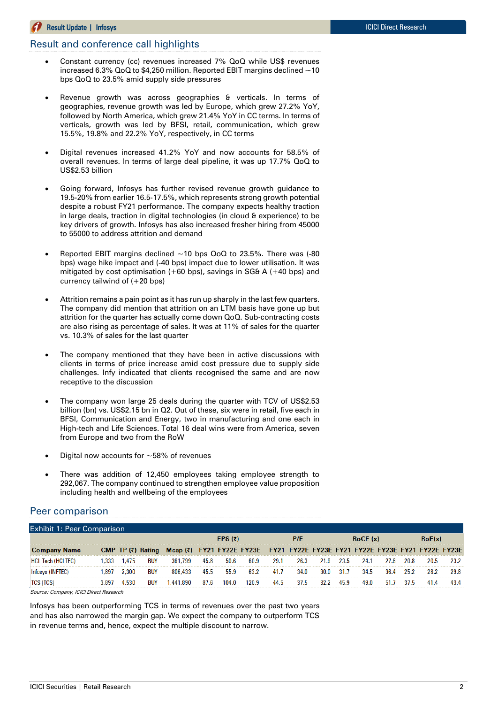#### Result Update **|** Infosys ICICI Direct Research

#### Result and conference call highlights

- Constant currency (cc) revenues increased 7% QoQ while US\$ revenues increased 6.3%  $QoQ$  to \$4,250 million. Reported EBIT margins declined  $\sim$  10 bps QoQ to 23.5% amid supply side pressures
- Revenue growth was across geographies & verticals. In terms of geographies, revenue growth was led by Europe, which grew 27.2% YoY, followed by North America, which grew 21.4% YoY in CC terms. In terms of verticals, growth was led by BFSI, retail, communication, which grew 15.5%, 19.8% and 22.2% YoY, respectively, in CC terms
- Digital revenues increased 41.2% YoY and now accounts for 58.5% of overall revenues. In terms of large deal pipeline, it was up 17.7% QoQ to US\$2.53 billion
- Going forward, Infosys has further revised revenue growth guidance to 19.5-20% from earlier 16.5-17.5%, which represents strong growth potential despite a robust FY21 performance. The company expects healthy traction in large deals, traction in digital technologies (in cloud & experience) to be key drivers of growth. Infosys has also increased fresher hiring from 45000 to 55000 to address attrition and demand
- Reported EBIT margins declined  $~10$  bps  $QoQ$  to 23.5%. There was (-80 bps) wage hike impact and (-40 bps) impact due to lower utilisation. It was mitigated by cost optimisation  $(+60 \text{ bps})$ , savings in SG& A  $(+40 \text{ bps})$  and currency tailwind of (+20 bps)
- Attrition remains a pain point as it has run up sharply in the last few quarters. The company did mention that attrition on an LTM basis have gone up but attrition for the quarter has actually come down QoQ. Sub-contracting costs are also rising as percentage of sales. It was at 11% of sales for the quarter vs. 10.3% of sales for the last quarter
- The company mentioned that they have been in active discussions with clients in terms of price increase amid cost pressure due to supply side challenges. Infy indicated that clients recognised the same and are now receptive to the discussion
- The company won large 25 deals during the quarter with TCV of US\$2.53 billion (bn) vs. US\$2.15 bn in Q2. Out of these, six were in retail, five each in BFSI, Communication and Energy, two in manufacturing and one each in High-tech and Life Sciences. Total 16 deal wins were from America, seven from Europe and two from the RoW
- Digital now accounts for  $\sim$  58% of revenues
- There was addition of 12,450 employees taking employee strength to 292,067. The company continued to strengthen employee value proposition including health and wellbeing of the employees

#### Peer comparison

| <b>Exhibit 1: Peer Comparison</b> |      |       |                   |                                                                              |      |           |       |      |      |      |      |          |      |      |      |
|-----------------------------------|------|-------|-------------------|------------------------------------------------------------------------------|------|-----------|-------|------|------|------|------|----------|------|------|------|
|                                   |      |       |                   |                                                                              |      | EPS $(5)$ |       |      | P/E  |      |      | RoCE (x) |      |      |      |
| <b>Name</b>                       |      |       | CMP TP (₹) Rating | Mcap (₹) FY21 FY22E FY23E FY21 FY22E FY23E FY21 FY22E FY23E FY21 FY22E FY23E |      |           |       |      |      |      |      |          |      |      |      |
| . Tech (HCLTEC)                   | .333 | 1.475 | <b>BUY</b>        | 361.799                                                                      | 45.8 | 50.6      | 60.9  | 29.1 | 26.3 | 21.9 | 23.5 | 24.1     | 20.8 | 20.5 | 23.2 |
|                                   | .897 | 2.300 | <b>BUY</b>        | 806.433                                                                      | 45.5 | 55.9      | 63.2  | 41.7 | 34.0 | 30.0 |      | 34.5     | 25.2 |      | 29.8 |
|                                   |      | 4.530 | <b>BUY</b>        | 441.890                                                                      | 87.6 | 104.0     | 120.9 | 44.5 | 37.5 | 322  | 45.9 | 49.0     | 37.5 |      |      |

Source: Company, ICICI Direct Research

Infosys has been outperforming TCS in terms of revenues over the past two years and has also narrowed the margin gap. We expect the company to outperform TCS in revenue terms and, hence, expect the multiple discount to narrow.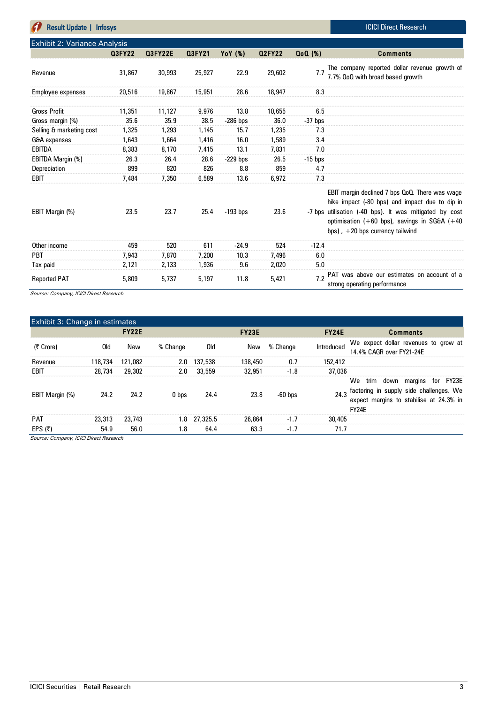| <b>Result Update   Infosys</b>      |               |                |               |            |               |                    | <b>ICICI Direct Research</b>                                                                                                                                                                                                                         |
|-------------------------------------|---------------|----------------|---------------|------------|---------------|--------------------|------------------------------------------------------------------------------------------------------------------------------------------------------------------------------------------------------------------------------------------------------|
| <b>Exhibit 2: Variance Analysis</b> |               |                |               |            |               |                    |                                                                                                                                                                                                                                                      |
|                                     | <b>Q3FY22</b> | <b>Q3FY22E</b> | <b>Q3FY21</b> | YoY (%)    | <b>Q2FY22</b> | Q <sub>0</sub> (%) | <b>Comments</b>                                                                                                                                                                                                                                      |
| Revenue                             | 31,867        | 30,993         | 25,927        | 22.9       | 29,602        | 7.7                | The company reported dollar revenue growth of<br>7.7% QoQ with broad based growth                                                                                                                                                                    |
| Employee expenses                   | 20,516        | 19,867         | 15,951        | 28.6       | 18,947        | 8.3                |                                                                                                                                                                                                                                                      |
| <b>Gross Profit</b>                 | 11,351        | 11,127         | 9,976         | 13.8       | 10,655        | 6.5                |                                                                                                                                                                                                                                                      |
| Gross margin (%)                    | 35.6          | 35.9           | 38.5          | $-286$ bps | 36.0          | $-37$ bps          |                                                                                                                                                                                                                                                      |
| Selling & marketing cost            | 1,325         | 1,293          | 1,145         | 15.7       | 1,235         | 7.3                |                                                                                                                                                                                                                                                      |
| G&A expenses                        | 1,643         | 1,664          | 1,416         | 16.0       | 1,589         | 3.4                |                                                                                                                                                                                                                                                      |
| <b>EBITDA</b>                       | 8,383         | 8,170          | 7,415         | 13.1       | 7,831         | 7.0                |                                                                                                                                                                                                                                                      |
| EBITDA Margin (%)                   | 26.3          | 26.4           | 28.6          | $-229$ bps | 26.5          | $-15$ bps          |                                                                                                                                                                                                                                                      |
| Depreciation                        | 899           | 820            | 826           | 8.8        | 859           | 4.7                |                                                                                                                                                                                                                                                      |
| EBIT                                | 7,484         | 7,350          | 6,589         | 13.6       | 6,972         | 7.3                |                                                                                                                                                                                                                                                      |
| EBIT Margin (%)                     | 23.5          | 23.7           | 25.4          | $-193$ bps | 23.6          |                    | EBIT margin declined 7 bps QoQ. There was wage<br>hike impact (-80 bps) and impact due to dip in<br>-7 bps utilisation (-40 bps). It was mitigated by cost<br>optimisation $(+60$ bps), savings in SG&A $(+40)$<br>bps), $+20$ bps currency tailwind |
| Other income                        | 459           | 520            | 611           | $-24.9$    | 524           | $-12.4$            |                                                                                                                                                                                                                                                      |
| PBT                                 | 7,943         | 7,870          | 7,200         | 10.3       | 7,496         | 6.0                |                                                                                                                                                                                                                                                      |
| Tax paid                            | 2,121         | 2,133          | 1,936         | 9.6        | 2,020         | 5.0                |                                                                                                                                                                                                                                                      |
| <b>Reported PAT</b>                 | 5,809         | 5,737          | 5.197         | 11.8       | 5,421         | 7.2                | PAT was above our estimates on account of a<br>strong operating performance                                                                                                                                                                          |

Source: Company, ICICI Direct Research

| Exhibit 3: Change in estimates |           |              |          |              |              |           |              |                                                                                                                                                 |
|--------------------------------|-----------|--------------|----------|--------------|--------------|-----------|--------------|-------------------------------------------------------------------------------------------------------------------------------------------------|
|                                |           | <b>FY22E</b> |          |              | <b>FY23E</b> |           | <b>FY24E</b> | <b>Comments</b>                                                                                                                                 |
| (そ Crore)                      | 0ld       | New          | % Change | Old          | New          | % Change  | Introduced   | We expect dollar revenues to grow at<br>14.4% CAGR over FY21-24E                                                                                |
| Revenue                        | 118,734   | 121.082      | 2.0      | 137,538      | 138,450      | 0.7       | 152,412      |                                                                                                                                                 |
| EBIT                           | 28,734    | 29,302       | 2.0      | 33,559       | 32,951       | $-1.8$    | 37,036       |                                                                                                                                                 |
| EBIT Margin (%)                | 24.2      | 24.2         | 0 bps    | 24.4         | 23.8         | $-60$ bps |              | We trim down margins for FY23E<br>24.3 factoring in supply side challenges. We<br>expect margins to stabilise at 24.3% in<br>FY <sub>24</sub> F |
| <b>PAT</b>                     | 23,313    | 23,743       |          | 1.8 27,325.5 | 26,864       | $-1.7$    | 30,405       |                                                                                                                                                 |
| EPS $(5)$                      | 54.9<br>. | 56.0         | 1.8      | 64.4         | 63.3         | $-1.7$    | 71.7         |                                                                                                                                                 |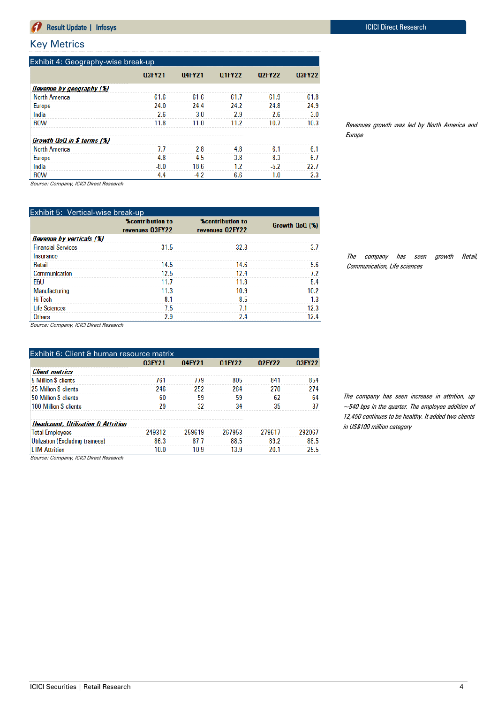#### Key Metrics

|                            | 03FY21 | 04FY21 | <b>Q1FY22</b> | 02FY22 | 03FY22 |
|----------------------------|--------|--------|---------------|--------|--------|
| Revenue by geography (%)   |        |        |               |        |        |
| <b>North America</b>       | 61.6   | 61.6   | 61.7          | 61.9   | 61.8   |
| <b>Europe</b>              | 24.0   | 24.4   | 24.2          | 24.8   | 24.9   |
| India                      | 2.6    | 3.0    | 2.9           | 2.6    | 3.0    |
| <b>ROW</b>                 | 11.8   | 11.0   | 11.2          | 10.7   | 10.3   |
| Growth QoQ in \$ terms (%) |        |        |               |        |        |
| <b>North America</b>       | 7.7    | 2.8    | 4.8           | 6.1    | 6.1    |
| <b>Europe</b>              | 4.8    | 4.5    | 3.8           | 8.3    | 6.7    |
| India                      | $-8.0$ | 18.6   | 1.2           | $-5.2$ | 22.7   |
| <b>ROW</b>                 | 4.4    | $-4.2$ | 6.6           | 1.0    | 2.3    |

Revenues growth was led by North America and Europe

Source: Company, ICICI Direct Research

| Exhibit 5: Vertical-wise break-up |                                            |                                            |                |
|-----------------------------------|--------------------------------------------|--------------------------------------------|----------------|
|                                   | <b>%contribution to</b><br>revenues 03FY22 | <b>%contribution to</b><br>revenues 02FY22 | Growth QoQ (%) |
| Revenue by verticals (%)          |                                            |                                            |                |
| <b>Financial Services</b>         | 31.5                                       | 32.3                                       | 34             |
| Insurance                         |                                            |                                            |                |
| <b>Retail</b>                     | 14.5                                       | 14.6                                       | 5.6            |
| Communication                     | 12.5                                       | 12.4                                       | 12             |
| <b>F&amp;U</b>                    | 11.7                                       | 11.8                                       | 5.4            |
| Manufacturing                     | 11.3                                       | 10.9                                       | 1N 2           |
| Hi Tech                           | 8.1                                        | 8.5                                        | 1.3            |
| <b>Life Sciences</b>              | 7.5                                        | 71                                         | 12 3           |
| Others                            | 2.9                                        | 2.4                                        |                |

The company has seen growth Retail, Communication, Life sciences

Source: Company, ICICI Direct Research

| Exhibit 6: Client & human resource matrix     |        |        |        |        |               |
|-----------------------------------------------|--------|--------|--------|--------|---------------|
|                                               | 03FY21 | 04FY21 | 01FY22 | 02FY22 | <b>Q3FY22</b> |
| <b>Client metrics</b>                         |        |        |        |        |               |
| 5 Million \$ clients                          | 761    | 779    | 805    | 841    | 854           |
| 25 Million \$ clients                         | 246    | 252    | 264    | 270    | 274           |
| 50 Million \$ clients                         | 60     | 59     | 59     | 62     | 64            |
| 100 Million \$ clients                        | 29     | 32     | 34     | 35     | 37            |
| <b>Headcount, Utilization &amp; Attrition</b> |        |        |        |        |               |
| <b>Total Employees</b>                        | 249312 | 259619 | 267953 | 279617 | 292067        |
| Utilization (Excluding trainees)              | 86.3   | 87.7   | 88.5   | 892    | 88.5          |
| <b>I TM Attrition</b>                         | 10.0   | 10.9   | 13.9   | 20.1   | 25.5          |

The company has seen increase in attrition, up  $\sim$ 540 bps in the quarter. The employee addition of 12,450 continues to be healthy. It added two clients in US\$100 million category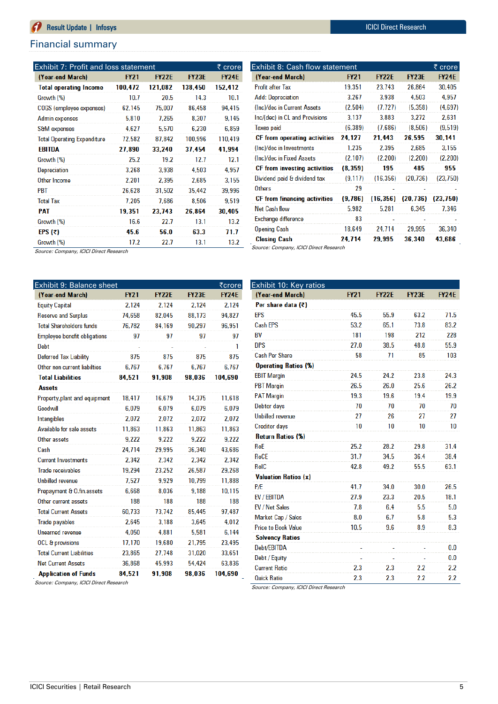#### Financial summary

| Exhibit 7: Profit and loss statement |             |              |              | ₹ crore      |
|--------------------------------------|-------------|--------------|--------------|--------------|
| (Year-end March)                     | <b>FY21</b> | <b>FY22E</b> | <b>FY23E</b> | <b>FY24E</b> |
| <b>Total operating Income</b>        | 100,472     | 121,082      | 138.450      | 152,412      |
| Growth (%)                           | 10.7        | 20.5         | 14.3         | 10.1         |
| COGS (employee expenses)             | 62,145      | 75,007       | 86,458       | 94,415       |
| Admin expenses                       | 5,810       | 7.265        | 8,307        | 9,145        |
| <b>S&amp;M</b> expenses              | 4,627       | 5,570        | 6,230        | 6,859        |
| <b>Total Operating Expenditure</b>   | 72,582      | 87,842       | 100.996      | 110,419      |
| EBITDA                               | 27,890      | 33,240       | 37,454       | 41,994       |
| Growth (%)                           | 25.2        | 19.2         | 12.7         | 12.1         |
| Depreciation                         | 3,268       | 3,938        | 4,503        | 4,957        |
| Other Income                         | 2,201       | 2,395        | 2,685        | 3,155        |
| <b>PBT</b>                           | 26,628      | 31.502       | 35,442       | 39,996       |
| <b>Total Tax</b>                     | 7.205       | 7.686        | 8.506        | 9,519        |
| PAT                                  | 19.351      | 23.743       | 26.864       | 30,405       |
| Growth (%)                           | 16.6        | 22.7         | 13.1         | 13.2         |
| EPS $(\bar{x})$                      | 45.6        | 56.0         | 63.3         | 71.7         |
| Growth (%)                           | 17.2        | 22.7         | 13.1         | 13.2         |

| Exhibit 8: Cash flow statement |             |              |              |              |  |  |  |
|--------------------------------|-------------|--------------|--------------|--------------|--|--|--|
| (Year-end March)               | <b>FY21</b> | <b>FY22E</b> | <b>FY23E</b> | <b>FY24E</b> |  |  |  |
| <b>Profit after Tax</b>        | 19,351      | 23,743       | 26,864       | 30,405       |  |  |  |
| <b>Add: Depreciation</b>       | 3,267       | 3,938        | 4,503        | 4,957        |  |  |  |
| (Inc)/dec in Current Assets    | (2,504)     | (7.727)      | (5, 358)     | (4.697)      |  |  |  |
| Inc/(dec) in CL and Provisions | 3.137       | 3,883        | 3,272        | 2,631        |  |  |  |
| <b>Taxes paid</b>              | (6, 389)    | (7,686)      | (8,506)      | (9,519)      |  |  |  |
| CF from operating activities   | 24,127      | 21,443       | 26,595       | 30,141       |  |  |  |
| (Inc)/dec in Investments       | 1,235       | 2,395        | 2,685        | 3,155        |  |  |  |
| (Inc)/dec in Fixed Assets      | (2, 107)    | (2,200)      | (2,200)      | (2,200)      |  |  |  |
| CF from investing activities   | (8, 359)    | 195          | 485          | 955          |  |  |  |
| Dividend paid & dividend tax   | (9, 117)    | (16, 356)    | (20, 736)    | (23,750)     |  |  |  |
| <b>Others</b>                  | 29          |              |              |              |  |  |  |
| CF from financing activities   | (9,786)     | (16, 356)    | (20, 736)    | (23, 750)    |  |  |  |
| Net Cash flow                  | 5,982       | 5,281        | 6.345        | 7,346        |  |  |  |
| Exchange difference            | 83          |              |              |              |  |  |  |
| <b>Opening Cash</b>            | 18,649      | 24,714       | 29,995       | 36,340       |  |  |  |
| <b>Closing Cash</b>            | 24,714      | 29,995       | 36,340       | 43,686       |  |  |  |

**FY21** 

Source: Company, ICICI Direct Research

| Exhibit 9: Balance sheet            |             |              |              | ₹crore       |
|-------------------------------------|-------------|--------------|--------------|--------------|
| (Year-end March)                    | <b>FY21</b> | <b>FY22E</b> | <b>FY23E</b> | <b>FY24E</b> |
| <b>Equity Capital</b>               | 2.124       | 2.124        | 2.124        | 2.124        |
| <b>Reserve and Surplus</b>          | 74,658      | 82,045       | 88,173       | 94,827       |
| <b>Total Shareholders funds</b>     | 76,782      | 84,169       | 90,297       | 96,951       |
| <b>Employee benefit obligations</b> | 97          | 97           | 97           | 97           |
| Debt                                |             |              |              | 1            |
| Deferred Tax Liability              | 875         | 875          | 875          | 875          |
| Other non current liabilties        | 6.767       | 6.767        | 6.767        | 6.767        |
| <b>Total Liabilities</b>            | 84.521      | 91,908       | 98,036       | 104,690      |
| <b>Assets</b>                       |             |              |              |              |
| Property, plant and equipment       | 18,417      | 16.679       | 14,375       | 11,618       |
| Goodwill                            | 6.079       | 6,079        | 6,079        | 6,079        |
| Intangibles                         | 2,072       | 2,072        | 2,072        | 2,072        |
| Available for sale assets           | 11,863      | 11,863       | 11,863       | 11,863       |
| Other assets                        | 9,222       | 9,222        | 9.222        | 9,222        |
| Cash                                | 24,714      | 29,995       | 36,340       | 43,686       |
| <b>Current Investments</b>          | 2.342       | 2.342        | 2,342        | 2,342        |
| <b>Trade receivables</b>            | 19,294      | 23.252       | 26.587       | 29,268       |
| <b>Unbilled revenue</b>             | 7.527       | 9,929        | 10,799       | 11,888       |
| Prepayment & O.fin.assets           | 6,668       | 8.036        | 9.188        | 10,115       |
| Other current assets                | 188         | 188          | 188          | 188          |
| <b>Total Current Assets</b>         | 60,733      | 73,742       | 85,445       | 97,487       |
| <b>Trade payables</b>               | 2,645       | 3.188        | 3,645        | 4,012        |
| <b>Unearned revenue</b>             | 4,050       | 4.881        | 5,581        | 6,144        |
| <b>OCL &amp; provisions</b>         | 17,170      | 19,680       | 21,795       | 23,495       |
| <b>Total Current Liabilities</b>    | 23,865      | 27,748       | 31,020       | 33,651       |
| <b>Net Current Assets</b>           | 36,868      | 45,993       | 54,424       | 63,836       |
| <b>Application of Funds</b>         | 84.521      | 91,908       | 98,036       | 104,690      |

Per share data (₹) **EPS** 45.5 55.9 63.2  $71.5$ Cash EPS 65.1 73.8 83.2 53.2 BV 181 198 212 228 **DPS**  $27.0$ 38.5 48.8 55.9  $\overline{11}$ 103 **Cash Per Share** 58 85 **Operating Ratios (%)** 24.5 **EBIT Margin** 24.2 23.8 24.3 **PBT Margin** 26.5  $26.0$ 25.6 26.2 **PAT Margin** 19.4 19.3 19.6 19.9 Debtor days 70 70 70 70 **Unbilled revenue**  $\overline{27}$ 26  $27$  $27$  $10$ **Creditor days**  $10$  $10$  $10$ **Return Ratios (%) RoE**  $25.2$ 28.2 29.8  $31.4$ RoCE 34.5 36.4 38.4 31.7 **RoIC** 42.8 49.2 55.5 63.1 **Valuation Ratios (x)**  $P/E$ 41.7 34.0 30.0 26.5 EV / EBITDA 27.9 23.3 20.5 18.1 EV / Net Sales  $7.8$  $6.4$  $5.5$  $5.0$ Market Cap / Sales  $0.8$  $6.7$  $5.8$  $5.3$ **Price to Book Value** 10.5  $9.6$ 8.9 8.3 **Solvency Ratios** Debt/EBITDA  $0.0$ Debt / Equity  $0.0\,$  $2.3$  $2.3$  $2.2$ **Current Ratio**  $2.2$ 

 $2.3$ 

 $2.3$ 

 $2.2$ 

**FY22E** 

**FY23E** 

**FY24E** 

Source: Company, ICICI Direct Research

Source: Company, ICICI Direct Research

**Quick Ratio** 

Exhibit 10: Key ratios<br>(Year-end March)

 $2.2$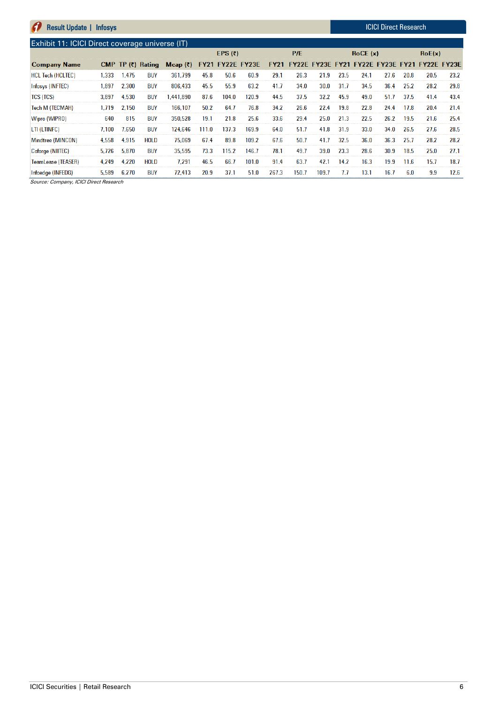#### **Result Update | Infosys ICICI Direct Research** A Exhibit 11: ICICI Direct coverage universe (IT) EPS $(3)$  $P/E$ RoCE (x)  $RoE(x)$ CMP TP (₹) Rating **Company Name FY21 FY22E FY23E** FY21 FY22E FY23E FY21 FY22E FY23E FY21 FY22E FY23E Mcap  $(7)$ **HCL Tech (HCLTEC)** 1,333 1,475 **BUY** 361,799 45.8 50.6 60.9 29.1 26.3 21.9 23.5  $24.1$  $27.6$ 20.8 20.5 23.2 Infosys (INFTEC) 1,897 2,300 **BUY** 806,433 45.5 55.9 63.2  $41.7$  $34.0$  $30.0$  $31.7$ 34.5 36.4  $25.2$ 28.2 29.8 **TCS (TCS)** 3,897 4,530 **BUY** 1,441,890 87.6 104.0 120.9 44.5  $37.5$  $32.2$ 45.9 49.0  $51.7$  $37.5$ 41.4 43.4 Tech M (TECMAH) 1,719 2,150 **BUY** 166,107  $50.2$ 64.7 76.8  $34.2$ 26.6 22.4 19.8 22.8 24.4  $17.8$ 20.4  $21.4$ Wipro (WIPRO) 640 815 **BUY** 350,528 19.1  $21.8$  $25.6$ 33.6 29.4 25.0  $21.3$ 22.5  $26.2$ 19.5  $21.6$  $25.4$ LTI (LTINFC) 7,100 7,650 **BUY** 124,646 111.0 137.3 169.9 64.0  $51.7$ 41.8 31.9 33.0  $34.0$ 26.5  $27.6$ 28.5 Mindtree (MINCON) 4,558 4,915 **HOLD** 75,069 67.4 89.8 109.2 67.6  $50.7$  $41.7$  $32.5$  $36.0$  $36.3$ 25.7 28.2 28.2 Coforge (NIITEC) 5,726 5,870 **BUY** 35,595 73.3 115.2 146.7 78.1 49.7 39.0 23.3 28.6  $30.9$ 18.5  $25.0$  $27.1$ TeamLease (TEASER) 4,249 4,220 **HOLD** 7,291 46.5 66.7 101.0 91.4 63.7  $42.1$ 14.2 16.3 19.9 11.6 15.7  $18.7$  $7.7$ Infoedge (INFEDG) 5,589 6,270 **BUY** 72,413 20.9  $37.1$  $51.0$ 267.3 150.7 109.7  $13.1$  $16.7$  $6.0$  $9.9$  $12.6$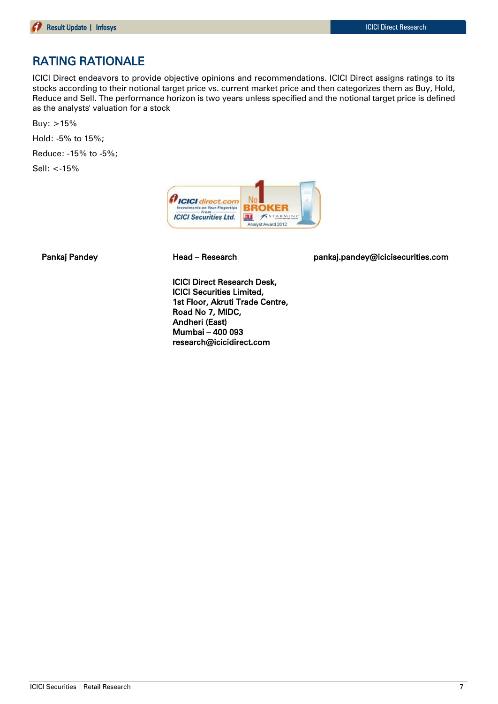### RATING RATIONALE

ICICI Direct endeavors to provide objective opinions and recommendations. ICICI Direct assigns ratings to its stocks according to their notional target price vs. current market price and then categorizes them as Buy, Hold, Reduce and Sell. The performance horizon is two years unless specified and the notional target price is defined as the analysts' valuation for a stock

Buy: >15%

Hold: -5% to 15%;

Reduce: -15% to -5%;

Sell: <-15%



Pankaj Pandey **Head – Research head pankaj.pandey@icicisecurities.com** 

ICICI Direct Research Desk, ICICI Securities Limited, 1st Floor, Akruti Trade Centre, Road No 7, MIDC, Andheri (East) Mumbai – 400 093 research@icicidirect.com